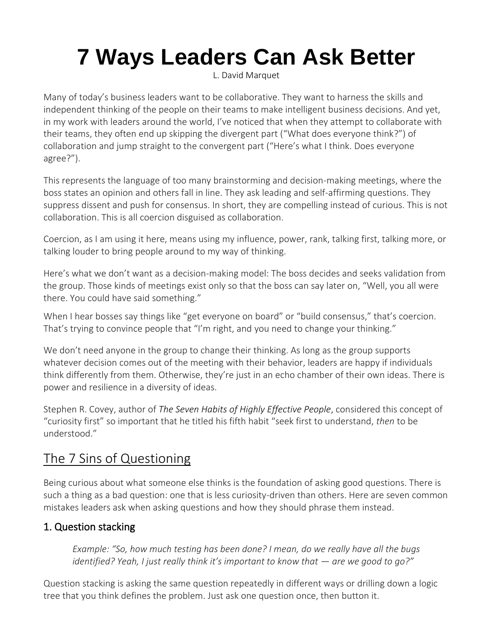# **7 Ways Leaders Can Ask Better**

[L. David Marquet](https://leadingwithquestions.us3.list-manage.com/track/click?u=4320a50bc672b2862b6f985c0&id=f3a32024c4&e=ba8044106f)

Many of today's business leaders want to be collaborative. They want to harness the skills and independent thinking of the people on their teams to make intelligent business decisions. And yet, in my work with leaders around the world, I've noticed that when they attempt to collaborate with their teams, they often end up skipping the divergent part ("What does everyone think?") of collaboration and jump straight to the convergent part ("Here's what I think. Does everyone agree?").

This represents the language of too many brainstorming and decision-making meetings, where the boss states an opinion and others fall in line. They ask leading and self-affirming questions. They suppress dissent and push for consensus. In short, they are compelling instead of curious. This is not collaboration. This is all coercion disguised as collaboration.

Coercion, as I am using it here, means using my influence, power, rank, talking first, talking more, or talking louder to bring people around to my way of thinking.

Here's what we don't want as a decision-making model: The boss decides and seeks validation from the group. Those kinds of meetings exist only so that the boss can say later on, "Well, you all were there. You could have said something."

When I hear bosses say things like "get everyone on board" or "build consensus," that's coercion. That's trying to convince people that "I'm right, and you need to change your thinking."

We don't need anyone in the group to change their thinking. As long as the group supports whatever decision comes out of the meeting with their behavior, leaders are happy if individuals think differently from them. Otherwise, they're just in an echo chamber of their own ideas. There is power and resilience in a diversity of ideas.

Stephen R. Covey, author of *[The Seven Habits of Highly Effective People](https://leadingwithquestions.us3.list-manage.com/track/click?u=4320a50bc672b2862b6f985c0&id=f518bbbe4a&e=ba8044106f)*, considered this concept of "curiosity first" so important that he titled his fifth habit "seek first to understand, *then* to be understood."

# The 7 Sins of Questioning

Being curious about what someone else thinks is the foundation of asking good questions. There is such a thing as a bad question: one that is less curiosity-driven than others. Here are seven common mistakes leaders ask when asking questions and how they should phrase them instead.

## 1. Question stacking

*Example: "So, how much testing has been done? I mean, do we really have all the bugs identified? Yeah, I just really think it's important to know that — are we good to go?"*

Question stacking is asking the same question repeatedly in different ways or drilling down a logic tree that you think defines the problem. Just ask one question once, then button it.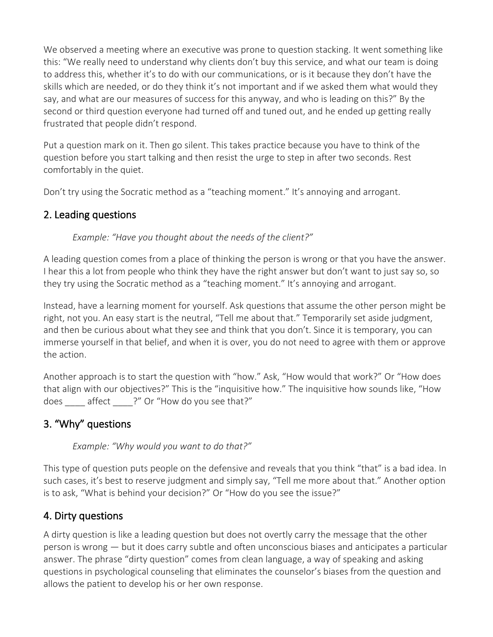We observed a meeting where an executive was prone to question stacking. It went something like this: "We really need to understand why clients don't buy this service, and what our team is doing to address this, whether it's to do with our communications, or is it because they don't have the skills which are needed, or do they think it's not important and if we asked them what would they say, and what are our measures of success for this anyway, and who is leading on this?" By the second or third question everyone had turned off and tuned out, and he ended up getting really frustrated that people didn't respond.

Put a question mark on it. Then go silent. This takes practice because you have to think of the question before you start talking and then resist the urge to step in after two seconds. Rest comfortably in the quiet.

Don't try using the Socratic method as a "teaching moment." It's annoying and arrogant.

#### 2. Leading questions

*Example: "Have you thought about the needs of the client?"*

A leading question comes from a place of thinking the person is wrong or that you have the answer. I hear this a lot from people who think they have the right answer but don't want to just say so, so they try using the Socratic method as a "teaching moment." It's annoying and arrogant.

Instead, have a learning moment for yourself. Ask questions that assume the other person might be right, not you. An easy start is the neutral, "Tell me about that." Temporarily set aside judgment, and then be curious about what they see and think that you don't. Since it is temporary, you can immerse yourself in that belief, and when it is over, you do not need to agree with them or approve the action.

Another approach is to start the question with "how." Ask, "How would that work?" Or "How does that align with our objectives?" This is the "inquisitive how." The inquisitive how sounds like, "How does affect ?" Or "How do you see that?"

## 3. "Why" questions

*Example: "Why would you want to do that?"*

This type of question puts people on the defensive and reveals that you think "that" is a bad idea. In such cases, it's best to reserve judgment and simply say, "Tell me more about that." Another option is to ask, "What is behind your decision?" Or "How do you see the issue?"

## 4. Dirty questions

A dirty question is like a leading question but does not overtly carry the message that the other person is wrong — but it does carry subtle and often unconscious biases and anticipates a particular answer. The phrase "dirty question" comes from clean language, a way of speaking and asking questions in psychological counseling that eliminates the counselor's biases from the question and allows the patient to develop his or her own response.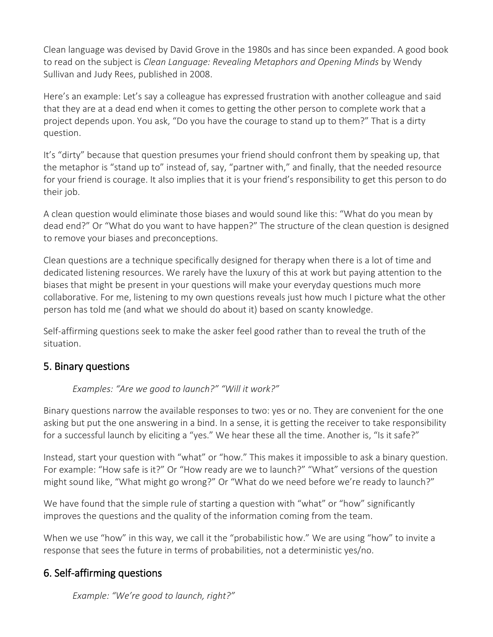Clean language was devised by David Grove in the 1980s and has since been expanded. A good book to read on the subject is *Clean Language: Revealing Metaphors and Opening Minds* by Wendy Sullivan and Judy Rees, published in 2008.

Here's an example: Let's say a colleague has expressed frustration with another colleague and said that they are at a dead end when it comes to getting the other person to complete work that a project depends upon. You ask, "Do you have the courage to stand up to them?" That is a dirty question.

It's "dirty" because that question presumes your friend should confront them by speaking up, that the metaphor is "stand up to" instead of, say, "partner with," and finally, that the needed resource for your friend is courage. It also implies that it is your friend's responsibility to get this person to do their job.

A clean question would eliminate those biases and would sound like this: "What do you mean by dead end?" Or "What do you want to have happen?" The structure of the clean question is designed to remove your biases and preconceptions.

Clean questions are a technique specifically designed for therapy when there is a lot of time and dedicated listening resources. We rarely have the luxury of this at work but paying attention to the biases that might be present in your questions will make your everyday questions much more collaborative. For me, listening to my own questions reveals just how much I picture what the other person has told me (and what we should do about it) based on scanty knowledge.

Self-affirming questions seek to make the asker feel good rather than to reveal the truth of the situation.

#### 5. Binary questions

#### *Examples: "Are we good to launch?" "Will it work?"*

Binary questions narrow the available responses to two: yes or no. They are convenient for the one asking but put the one answering in a bind. In a sense, it is getting the receiver to take responsibility for a successful launch by eliciting a "yes." We hear these all the time. Another is, "Is it safe?"

Instead, start your question with "what" or "how." This makes it impossible to ask a binary question. For example: "How safe is it?" Or "How ready are we to launch?" "What" versions of the question might sound like, "What might go wrong?" Or "What do we need before we're ready to launch?"

We have found that the simple rule of starting a question with "what" or "how" significantly improves the questions and the quality of the information coming from the team.

When we use "how" in this way, we call it the "probabilistic how." We are using "how" to invite a response that sees the future in terms of probabilities, not a deterministic yes/no.

#### 6. Self-affirming questions

*Example: "We're good to launch, right?"*